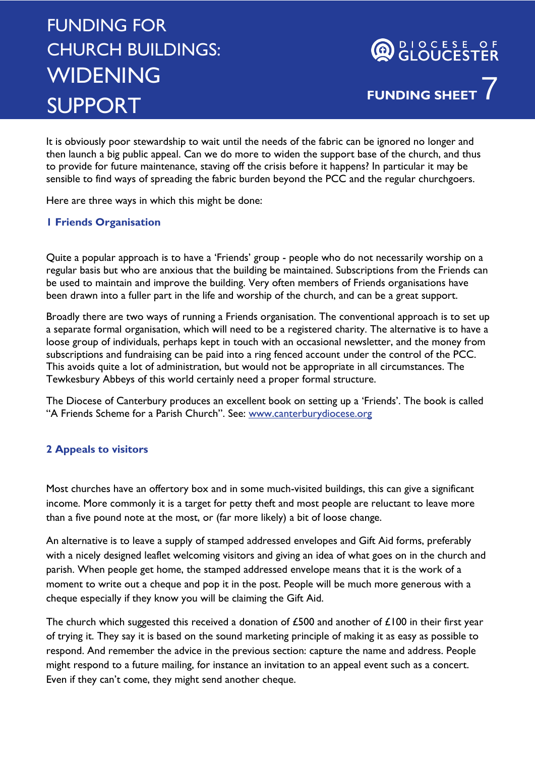## FUNDING FOR CHURCH BUILDINGS: **WIDENING** SUPPORT

It is obviously poor stewardship to wait until the needs of the fabric can be ignored no longer and then launch a big public appeal. Can we do more to widen the support base of the church, and thus to provide for future maintenance, staving off the crisis before it happens? In particular it may be sensible to find ways of spreading the fabric burden beyond the PCC and the regular churchgoers.

Here are three ways in which this might be done:

## **1 Friends Organisation**

Quite a popular approach is to have a 'Friends' group - people who do not necessarily worship on a regular basis but who are anxious that the building be maintained. Subscriptions from the Friends can be used to maintain and improve the building. Very often members of Friends organisations have been drawn into a fuller part in the life and worship of the church, and can be a great support.

Broadly there are two ways of running a Friends organisation. The conventional approach is to set up a separate formal organisation, which will need to be a registered charity. The alternative is to have a loose group of individuals, perhaps kept in touch with an occasional newsletter, and the money from subscriptions and fundraising can be paid into a ring fenced account under the control of the PCC. This avoids quite a lot of administration, but would not be appropriate in all circumstances. The Tewkesbury Abbeys of this world certainly need a proper formal structure.

The Diocese of Canterbury produces an excellent book on setting up a 'Friends'. The book is called "A Friends Scheme for a Parish Church". See: www.canterburydiocese.org

## **2 Appeals to visitors**

Most churches have an offertory box and in some much-visited buildings, this can give a significant income. More commonly it is a target for petty theft and most people are reluctant to leave more than a five pound note at the most, or (far more likely) a bit of loose change.

An alternative is to leave a supply of stamped addressed envelopes and Gift Aid forms, preferably with a nicely designed leaflet welcoming visitors and giving an idea of what goes on in the church and parish. When people get home, the stamped addressed envelope means that it is the work of a moment to write out a cheque and pop it in the post. People will be much more generous with a cheque especially if they know you will be claiming the Gift Aid.

The church which suggested this received a donation of  $£500$  and another of  $£100$  in their first year of trying it. They say it is based on the sound marketing principle of making it as easy as possible to respond. And remember the advice in the previous section: capture the name and address. People might respond to a future mailing, for instance an invitation to an appeal event such as a concert. Even if they can't come, they might send another cheque.